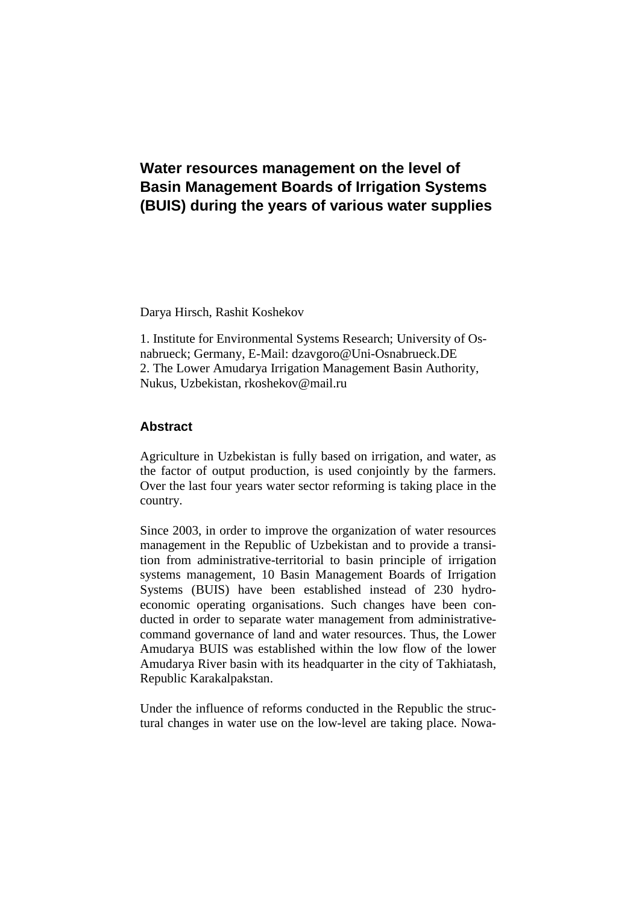# **Water resources management on the level of Basin Management Boards of Irrigation Systems (BUIS) during the years of various water supplies**

Darya Hirsch, Rashit Koshekov

1. Institute for Environmental Systems Research; University of Osnabrueck; Germany, E-Mail: dzavgoro@Uni-Osnabrueck.DE 2. The Lower Amudarya Irrigation Management Basin Authority, Nukus, Uzbekistan, rkoshekov@mail.ru

## **Abstract**

Agriculture in Uzbekistan is fully based on irrigation, and water, as the factor of output production, is used conjointly by the farmers. Over the last four years water sector reforming is taking place in the country.

Since 2003, in order to improve the organization of water resources management in the Republic of Uzbekistan and to provide a transition from administrative-territorial to basin principle of irrigation systems management, 10 Basin Management Boards of Irrigation Systems (BUIS) have been established instead of 230 hydroeconomic operating organisations. Such changes have been conducted in order to separate water management from administrativecommand governance of land and water resources. Thus, the Lower Amudarya BUIS was established within the low flow of the lower Amudarya River basin with its headquarter in the city of Takhiatash, Republic Karakalpakstan.

Under the influence of reforms conducted in the Republic the structural changes in water use on the low-level are taking place. Nowa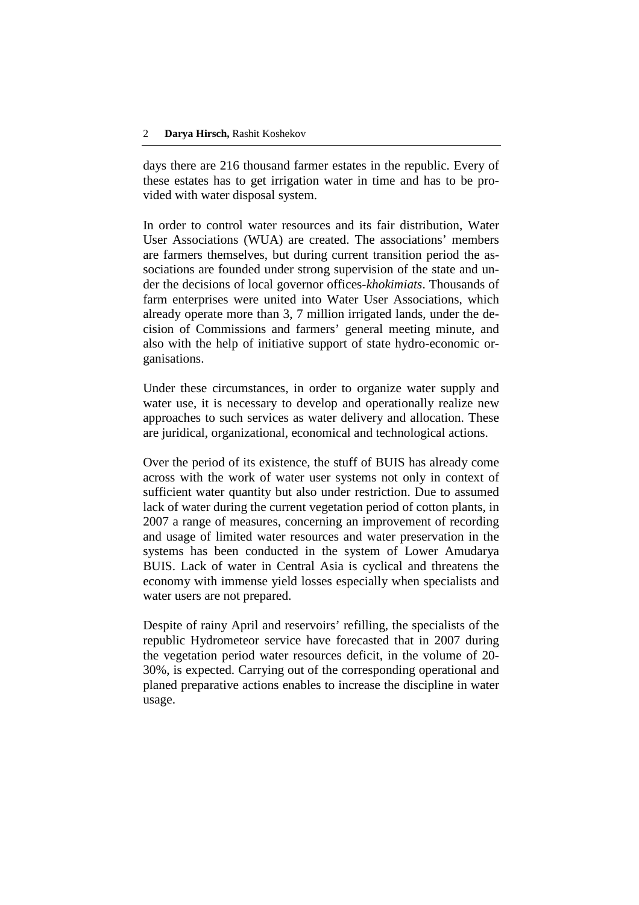days there are 216 thousand farmer estates in the republic. Every of these estates has to get irrigation water in time and has to be provided with water disposal system.

In order to control water resources and its fair distribution, Water User Associations (WUA) are created. The associations' members are farmers themselves, but during current transition period the associations are founded under strong supervision of the state and under the decisions of local governor offices-*khokimiats*. Thousands of farm enterprises were united into Water User Associations, which already operate more than 3, 7 million irrigated lands, under the decision of Commissions and farmers' general meeting minute, and also with the help of initiative support of state hydro-economic organisations.

Under these circumstances, in order to organize water supply and water use, it is necessary to develop and operationally realize new approaches to such services as water delivery and allocation. These are juridical, organizational, economical and technological actions.

Over the period of its existence, the stuff of BUIS has already come across with the work of water user systems not only in context of sufficient water quantity but also under restriction. Due to assumed lack of water during the current vegetation period of cotton plants, in 2007 a range of measures, concerning an improvement of recording and usage of limited water resources and water preservation in the systems has been conducted in the system of Lower Amudarya BUIS. Lack of water in Central Asia is cyclical and threatens the economy with immense yield losses especially when specialists and water users are not prepared.

Despite of rainy April and reservoirs' refilling, the specialists of the republic Hydrometeor service have forecasted that in 2007 during the vegetation period water resources deficit, in the volume of 20- 30%, is expected. Carrying out of the corresponding operational and planed preparative actions enables to increase the discipline in water usage.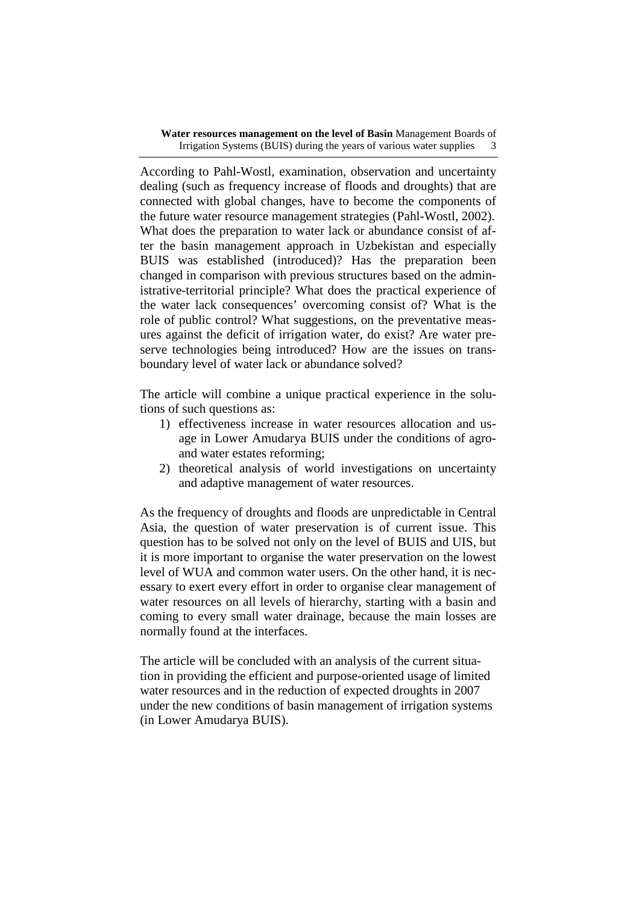According to Pahl-Wostl, examination, observation and uncertainty dealing (such as frequency increase of floods and droughts) that are connected with global changes, have to become the components of the future water resource management strategies (Pahl-Wostl, 2002). What does the preparation to water lack or abundance consist of after the basin management approach in Uzbekistan and especially BUIS was established (introduced)? Has the preparation been changed in comparison with previous structures based on the administrative-territorial principle? What does the practical experience of the water lack consequences' overcoming consist of? What is the role of public control? What suggestions, on the preventative measures against the deficit of irrigation water, do exist? Are water preserve technologies being introduced? How are the issues on transboundary level of water lack or abundance solved?

The article will combine a unique practical experience in the solutions of such questions as:

- 1) effectiveness increase in water resources allocation and usage in Lower Amudarya BUIS under the conditions of agroand water estates reforming;
- 2) theoretical analysis of world investigations on uncertainty and adaptive management of water resources.

As the frequency of droughts and floods are unpredictable in Central Asia, the question of water preservation is of current issue. This question has to be solved not only on the level of BUIS and UIS, but it is more important to organise the water preservation on the lowest level of WUA and common water users. On the other hand, it is necessary to exert every effort in order to organise clear management of water resources on all levels of hierarchy, starting with a basin and coming to every small water drainage, because the main losses are normally found at the interfaces.

The article will be concluded with an analysis of the current situation in providing the efficient and purpose-oriented usage of limited water resources and in the reduction of expected droughts in 2007 under the new conditions of basin management of irrigation systems (in Lower Amudarya BUIS).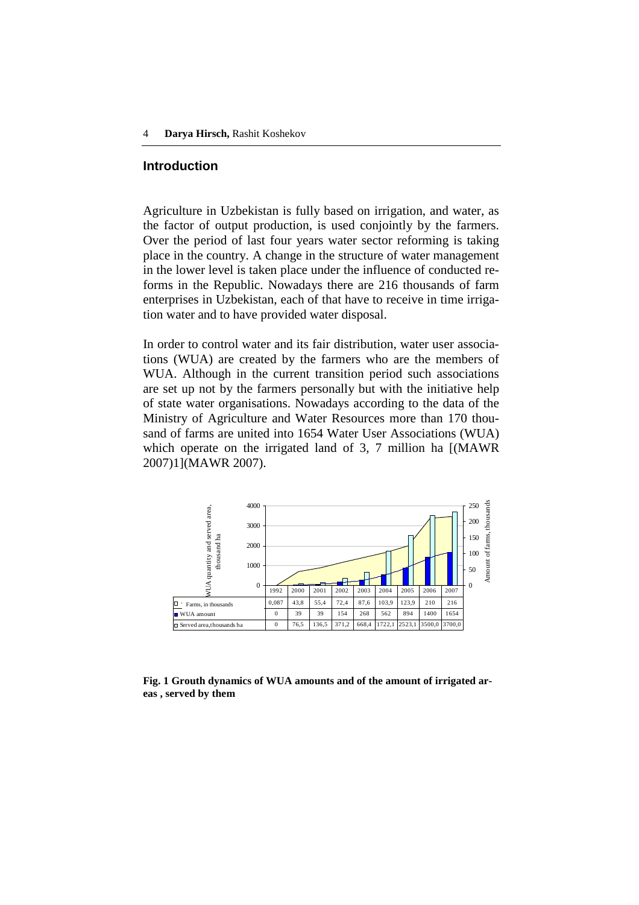#### **Introduction**

Agriculture in Uzbekistan is fully based on irrigation, and water, as the factor of output production, is used conjointly by the farmers. Over the period of last four years water sector reforming is taking place in the country. A change in the structure of water management in the lower level is taken place under the influence of conducted reforms in the Republic. Nowadays there are 216 thousands of farm enterprises in Uzbekistan, each of that have to receive in time irrigation water and to have provided water disposal.

In order to control water and its fair distribution, water user associations (WUA) are created by the farmers who are the members of WUA. Although in the current transition period such associations are set up not by the farmers personally but with the initiative help of state water organisations. Nowadays according to the data of the Ministry of Agriculture and Water Resources more than 170 thousand of farms are united into 1654 Water User Associations (WUA) which operate on the irrigated land of 3, 7 million ha [(MAWR) 2007)1](MAWR 2007).



**Fig. 1 Grouth dynamics of WUA amounts and of the amount of irrigated areas , served by them**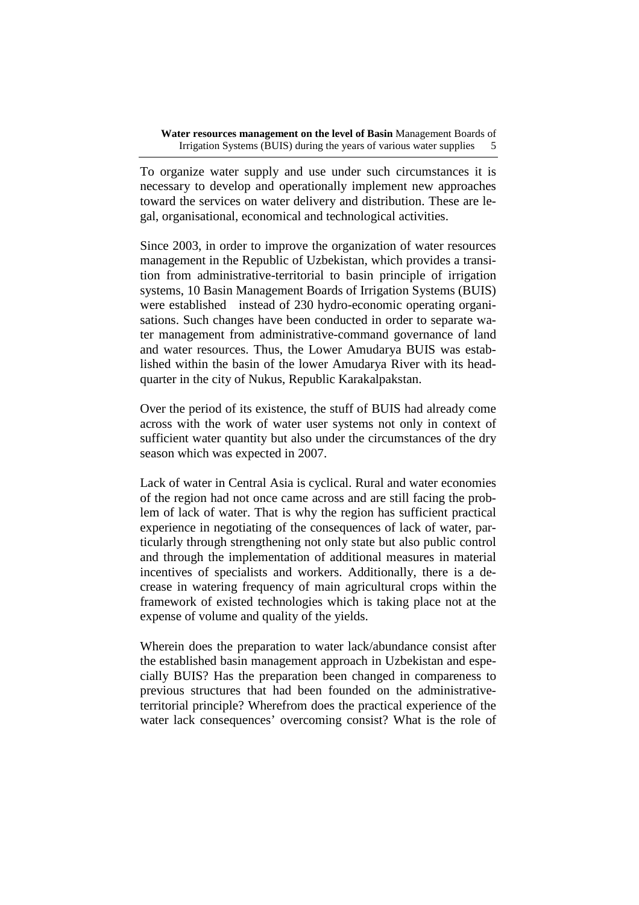To organize water supply and use under such circumstances it is necessary to develop and operationally implement new approaches toward the services on water delivery and distribution. These are legal, organisational, economical and technological activities.

Since 2003, in order to improve the organization of water resources management in the Republic of Uzbekistan, which provides a transition from administrative-territorial to basin principle of irrigation systems, 10 Basin Management Boards of Irrigation Systems (BUIS) were established instead of 230 hydro-economic operating organisations. Such changes have been conducted in order to separate water management from administrative-command governance of land and water resources. Thus, the Lower Amudarya BUIS was established within the basin of the lower Amudarya River with its headquarter in the city of Nukus, Republic Karakalpakstan.

Over the period of its existence, the stuff of BUIS had already come across with the work of water user systems not only in context of sufficient water quantity but also under the circumstances of the dry season which was expected in 2007.

Lack of water in Central Asia is cyclical. Rural and water economies of the region had not once came across and are still facing the problem of lack of water. That is why the region has sufficient practical experience in negotiating of the consequences of lack of water, particularly through strengthening not only state but also public control and through the implementation of additional measures in material incentives of specialists and workers. Additionally, there is a decrease in watering frequency of main agricultural crops within the framework of existed technologies which is taking place not at the expense of volume and quality of the yields.

Wherein does the preparation to water lack/abundance consist after the established basin management approach in Uzbekistan and especially BUIS? Has the preparation been changed in compareness to previous structures that had been founded on the administrativeterritorial principle? Wherefrom does the practical experience of the water lack consequences' overcoming consist? What is the role of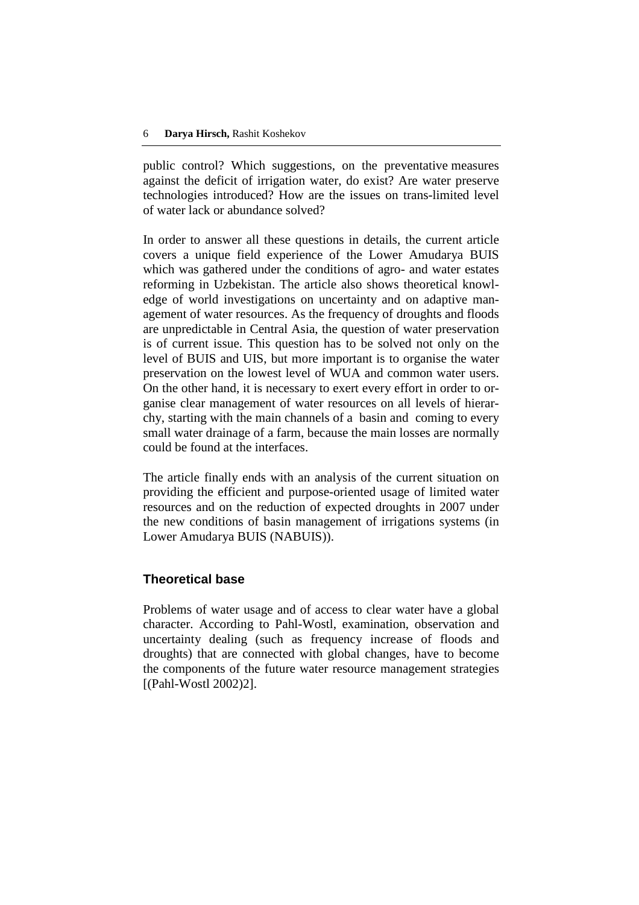public control? Which suggestions, on the preventative measures against the deficit of irrigation water, do exist? Are water preserve technologies introduced? How are the issues on trans-limited level of water lack or abundance solved?

In order to answer all these questions in details, the current article covers a unique field experience of the Lower Amudarya BUIS which was gathered under the conditions of agro- and water estates reforming in Uzbekistan. The article also shows theoretical knowledge of world investigations on uncertainty and on adaptive management of water resources. As the frequency of droughts and floods are unpredictable in Central Asia, the question of water preservation is of current issue. This question has to be solved not only on the level of BUIS and UIS, but more important is to organise the water preservation on the lowest level of WUA and common water users. On the other hand, it is necessary to exert every effort in order to organise clear management of water resources on all levels of hierarchy, starting with the main channels of a basin and coming to every small water drainage of a farm, because the main losses are normally could be found at the interfaces.

The article finally ends with an analysis of the current situation on providing the efficient and purpose-oriented usage of limited water resources and on the reduction of expected droughts in 2007 under the new conditions of basin management of irrigations systems (in Lower Amudarya BUIS (NABUIS)).

### **Theoretical base**

Problems of water usage and of access to clear water have a global character. According to Pahl-Wostl, examination, observation and uncertainty dealing (such as frequency increase of floods and droughts) that are connected with global changes, have to become the components of the future water resource management strategies [(Pahl-Wostl 2002)2].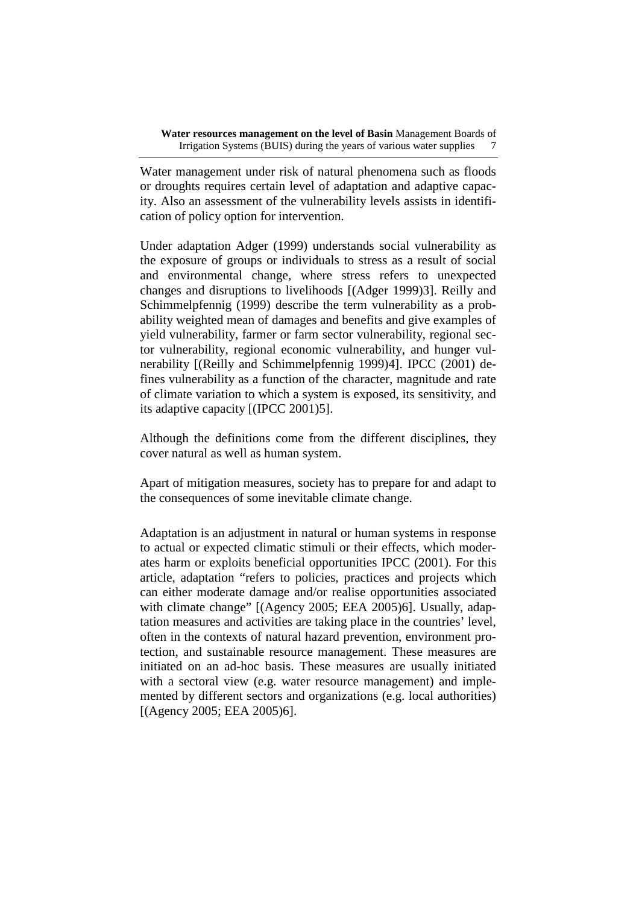Water management under risk of natural phenomena such as floods or droughts requires certain level of adaptation and adaptive capacity. Also an assessment of the vulnerability levels assists in identification of policy option for intervention.

Under adaptation Adger (1999) understands social vulnerability as the exposure of groups or individuals to stress as a result of social and environmental change, where stress refers to unexpected changes and disruptions to livelihoods [(Adger 1999)3]. Reilly and Schimmelpfennig (1999) describe the term vulnerability as a probability weighted mean of damages and benefits and give examples of yield vulnerability, farmer or farm sector vulnerability, regional sector vulnerability, regional economic vulnerability, and hunger vulnerability [(Reilly and Schimmelpfennig 1999)4]. IPCC (2001) defines vulnerability as a function of the character, magnitude and rate of climate variation to which a system is exposed, its sensitivity, and its adaptive capacity [(IPCC 2001)5].

Although the definitions come from the different disciplines, they cover natural as well as human system.

Apart of mitigation measures, society has to prepare for and adapt to the consequences of some inevitable climate change.

Adaptation is an adjustment in natural or human systems in response to actual or expected climatic stimuli or their effects, which moderates harm or exploits beneficial opportunities IPCC (2001). For this article, adaptation "refers to policies, practices and projects which can either moderate damage and/or realise opportunities associated with climate change" [(Agency 2005; EEA 2005)6]. Usually, adaptation measures and activities are taking place in the countries' level, often in the contexts of natural hazard prevention, environment protection, and sustainable resource management. These measures are initiated on an ad-hoc basis. These measures are usually initiated with a sectoral view (e.g. water resource management) and implemented by different sectors and organizations (e.g. local authorities) [(Agency 2005; EEA 2005)6].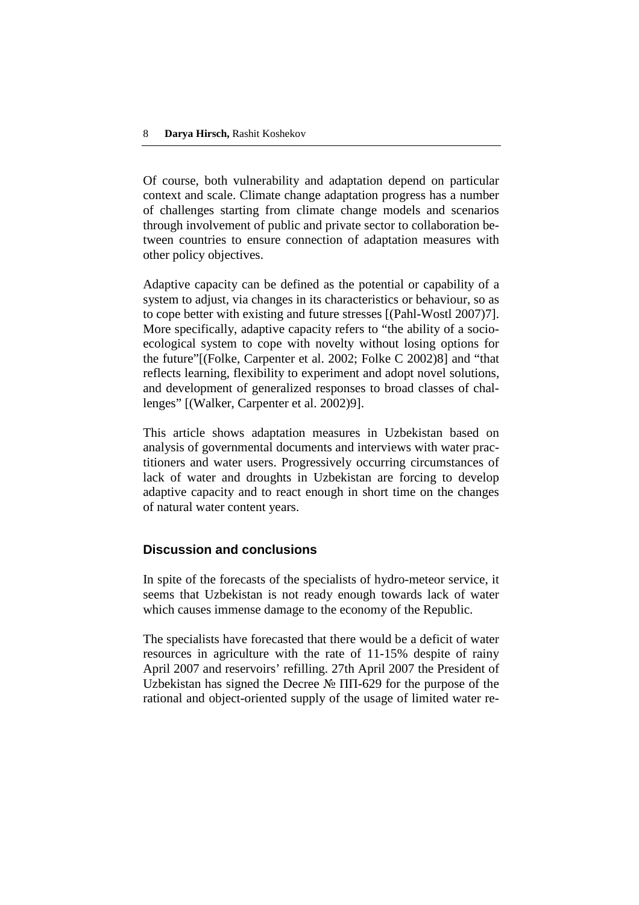Of course, both vulnerability and adaptation depend on particular context and scale. Climate change adaptation progress has a number of challenges starting from climate change models and scenarios through involvement of public and private sector to collaboration between countries to ensure connection of adaptation measures with other policy objectives.

Adaptive capacity can be defined as the potential or capability of a system to adjust, via changes in its characteristics or behaviour, so as to cope better with existing and future stresses [(Pahl-Wostl 2007)7]. More specifically, adaptive capacity refers to "the ability of a socioecological system to cope with novelty without losing options for the future"[(Folke, Carpenter et al. 2002; Folke C 2002)8] and "that reflects learning, flexibility to experiment and adopt novel solutions, and development of generalized responses to broad classes of challenges" [(Walker, Carpenter et al. 2002)9].

This article shows adaptation measures in Uzbekistan based on analysis of governmental documents and interviews with water practitioners and water users. Progressively occurring circumstances of lack of water and droughts in Uzbekistan are forcing to develop adaptive capacity and to react enough in short time on the changes of natural water content years.

# **Discussion and conclusions**

In spite of the forecasts of the specialists of hydro-meteor service, it seems that Uzbekistan is not ready enough towards lack of water which causes immense damage to the economy of the Republic.

The specialists have forecasted that there would be a deficit of water resources in agriculture with the rate of 11-15% despite of rainy April 2007 and reservoirs' refilling. 27th April 2007 the President of Uzbekistan has signed the Decree № ПП-629 for the purpose of the rational and object-oriented supply of the usage of limited water re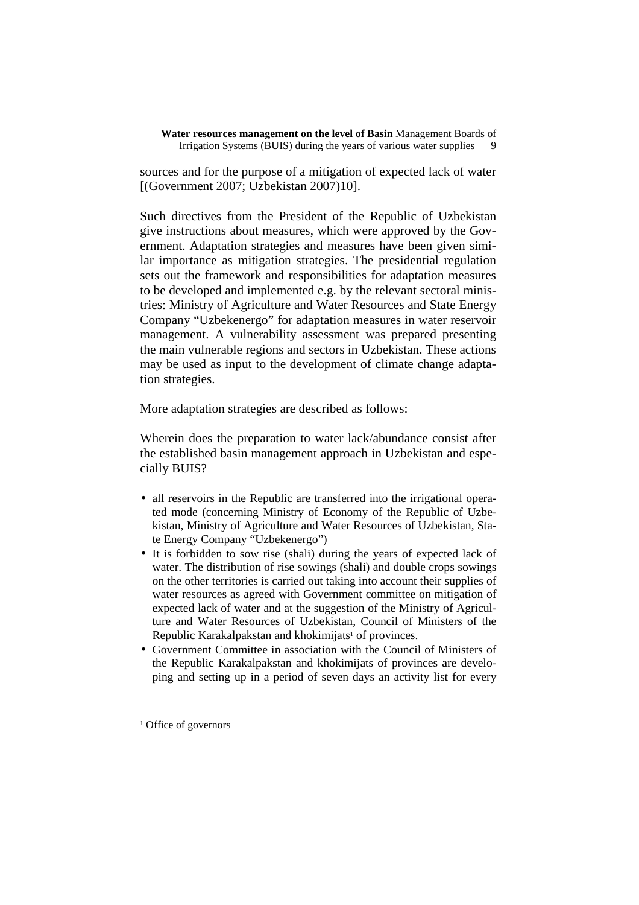sources and for the purpose of a mitigation of expected lack of water [(Government 2007; Uzbekistan 2007)10].

Such directives from the President of the Republic of Uzbekistan give instructions about measures, which were approved by the Government. Adaptation strategies and measures have been given similar importance as mitigation strategies. The presidential regulation sets out the framework and responsibilities for adaptation measures to be developed and implemented e.g. by the relevant sectoral ministries: Ministry of Agriculture and Water Resources and State Energy Company "Uzbekenergo" for adaptation measures in water reservoir management. A vulnerability assessment was prepared presenting the main vulnerable regions and sectors in Uzbekistan. These actions may be used as input to the development of climate change adaptation strategies.

More adaptation strategies are described as follows:

Wherein does the preparation to water lack/abundance consist after the established basin management approach in Uzbekistan and especially BUIS?

- all reservoirs in the Republic are transferred into the irrigational operated mode (concerning Ministry of Economy of the Republic of Uzbekistan, Ministry of Agriculture and Water Resources of Uzbekistan, State Energy Company "Uzbekenergo")
- It is forbidden to sow rise (shali) during the years of expected lack of water. The distribution of rise sowings (shali) and double crops sowings on the other territories is carried out taking into account their supplies of water resources as agreed with Government committee on mitigation of expected lack of water and at the suggestion of the Ministry of Agriculture and Water Resources of Uzbekistan, Council of Ministers of the Republic Karakalpakstan and khokimijats<sup>1</sup> of provinces.
- Government Committee in association with the Council of Ministers of the Republic Karakalpakstan and khokimijats of provinces are developing and setting up in a period of seven days an activity list for every

 $\overline{a}$ 

<sup>&</sup>lt;sup>1</sup> Office of governors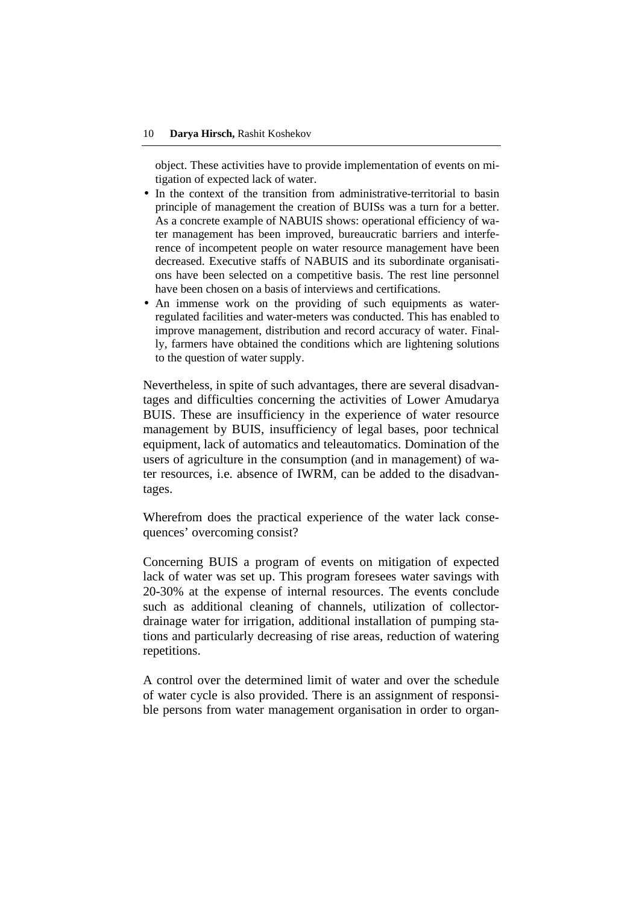object. These activities have to provide implementation of events on mitigation of expected lack of water.

- In the context of the transition from administrative-territorial to basin principle of management the creation of BUISs was a turn for a better. As a concrete example of NABUIS shows: operational efficiency of water management has been improved, bureaucratic barriers and interference of incompetent people on water resource management have been decreased. Executive staffs of NABUIS and its subordinate organisations have been selected on a competitive basis. The rest line personnel have been chosen on a basis of interviews and certifications.
- An immense work on the providing of such equipments as waterregulated facilities and water-meters was conducted. This has enabled to improve management, distribution and record accuracy of water. Finally, farmers have obtained the conditions which are lightening solutions to the question of water supply.

Nevertheless, in spite of such advantages, there are several disadvantages and difficulties concerning the activities of Lower Amudarya BUIS. These are insufficiency in the experience of water resource management by BUIS, insufficiency of legal bases, poor technical equipment, lack of automatics and teleautomatics. Domination of the users of agriculture in the consumption (and in management) of water resources, i.e. absence of IWRM, can be added to the disadvantages.

Wherefrom does the practical experience of the water lack consequences' overcoming consist?

Concerning BUIS a program of events on mitigation of expected lack of water was set up. This program foresees water savings with 20-30% at the expense of internal resources. The events conclude such as additional cleaning of channels, utilization of collectordrainage water for irrigation, additional installation of pumping stations and particularly decreasing of rise areas, reduction of watering repetitions.

A control over the determined limit of water and over the schedule of water cycle is also provided. There is an assignment of responsible persons from water management organisation in order to organ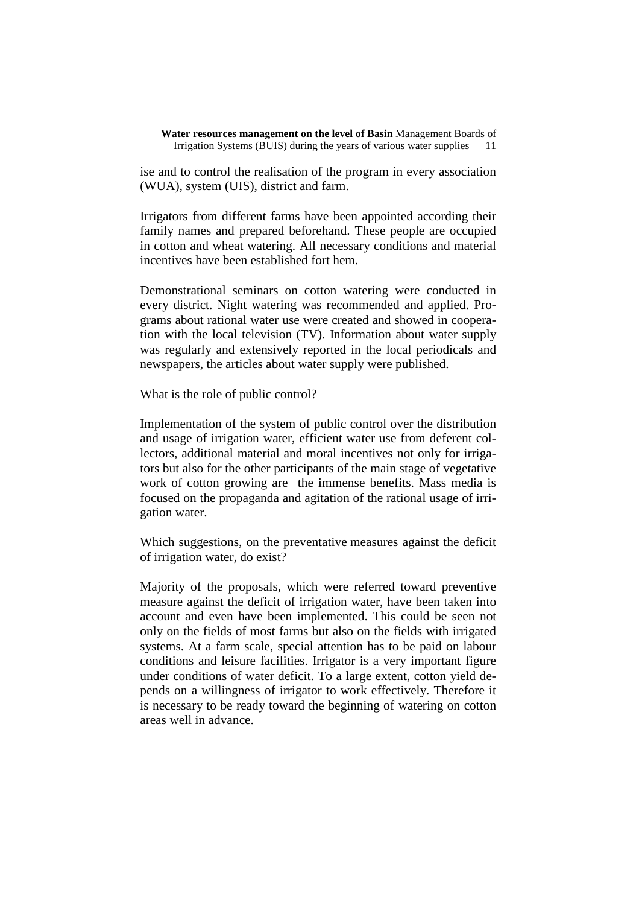ise and to control the realisation of the program in every association (WUA), system (UIS), district and farm.

Irrigators from different farms have been appointed according their family names and prepared beforehand. These people are occupied in cotton and wheat watering. All necessary conditions and material incentives have been established fort hem.

Demonstrational seminars on cotton watering were conducted in every district. Night watering was recommended and applied. Programs about rational water use were created and showed in cooperation with the local television (TV). Information about water supply was regularly and extensively reported in the local periodicals and newspapers, the articles about water supply were published.

What is the role of public control?

Implementation of the system of public control over the distribution and usage of irrigation water, efficient water use from deferent collectors, additional material and moral incentives not only for irrigators but also for the other participants of the main stage of vegetative work of cotton growing are the immense benefits. Mass media is focused on the propaganda and agitation of the rational usage of irrigation water.

Which suggestions, on the preventative measures against the deficit of irrigation water, do exist?

Majority of the proposals, which were referred toward preventive measure against the deficit of irrigation water, have been taken into account and even have been implemented. This could be seen not only on the fields of most farms but also on the fields with irrigated systems. At a farm scale, special attention has to be paid on labour conditions and leisure facilities. Irrigator is a very important figure under conditions of water deficit. To a large extent, cotton yield depends on a willingness of irrigator to work effectively. Therefore it is necessary to be ready toward the beginning of watering on cotton areas well in advance.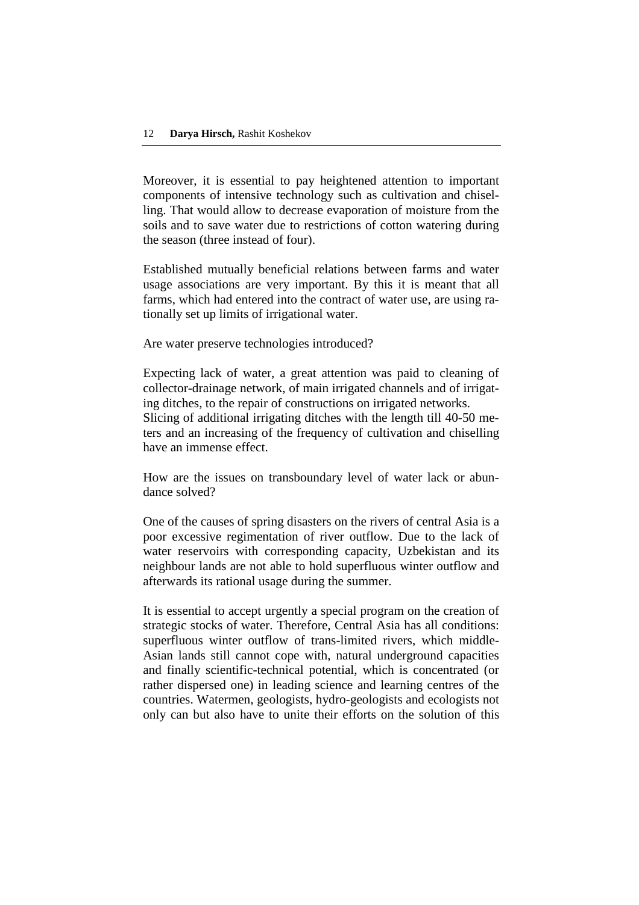Moreover, it is essential to pay heightened attention to important components of intensive technology such as cultivation and chiselling. That would allow to decrease evaporation of moisture from the soils and to save water due to restrictions of cotton watering during the season (three instead of four).

Established mutually beneficial relations between farms and water usage associations are very important. By this it is meant that all farms, which had entered into the contract of water use, are using rationally set up limits of irrigational water.

Are water preserve technologies introduced?

Expecting lack of water, a great attention was paid to cleaning of collector-drainage network, of main irrigated channels and of irrigating ditches, to the repair of constructions on irrigated networks. Slicing of additional irrigating ditches with the length till 40-50 meters and an increasing of the frequency of cultivation and chiselling have an immense effect.

How are the issues on transboundary level of water lack or abundance solved?

One of the causes of spring disasters on the rivers of central Asia is a poor excessive regimentation of river outflow. Due to the lack of water reservoirs with corresponding capacity, Uzbekistan and its neighbour lands are not able to hold superfluous winter outflow and afterwards its rational usage during the summer.

It is essential to accept urgently a special program on the creation of strategic stocks of water. Therefore, Central Asia has all conditions: superfluous winter outflow of trans-limited rivers, which middle-Asian lands still cannot cope with, natural underground capacities and finally scientific-technical potential, which is concentrated (or rather dispersed one) in leading science and learning centres of the countries. Watermen, geologists, hydro-geologists and ecologists not only can but also have to unite their efforts on the solution of this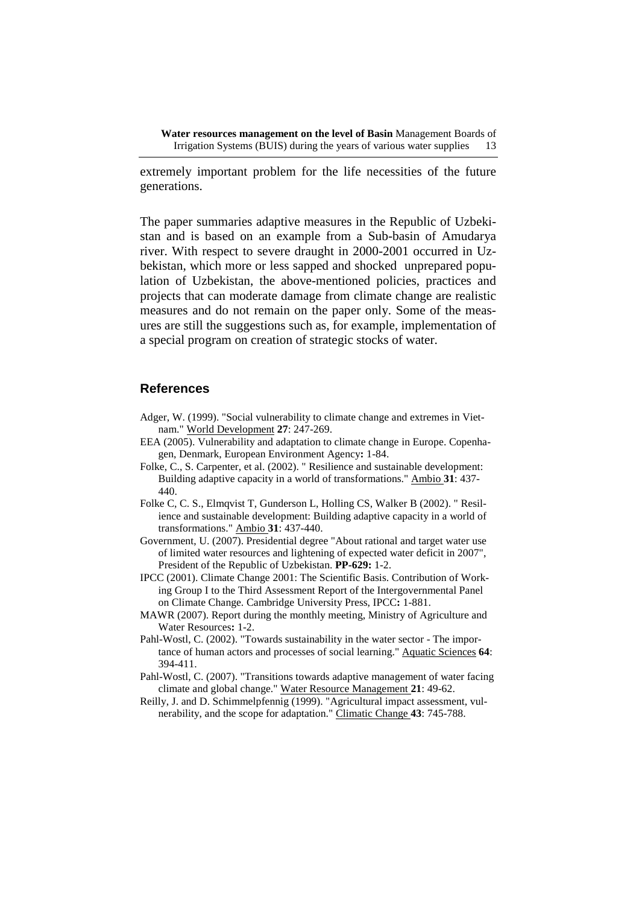**Water resources management on the level of Basin** Management Boards of Irrigation Systems (BUIS) during the years of various water supplies 13

extremely important problem for the life necessities of the future generations.

The paper summaries adaptive measures in the Republic of Uzbekistan and is based on an example from a Sub-basin of Amudarya river. With respect to severe draught in 2000-2001 occurred in Uzbekistan, which more or less sapped and shocked unprepared population of Uzbekistan, the above-mentioned policies, practices and projects that can moderate damage from climate change are realistic measures and do not remain on the paper only. Some of the measures are still the suggestions such as, for example, implementation of a special program on creation of strategic stocks of water.

#### **References**

- Adger, W. (1999). "Social vulnerability to climate change and extremes in Vietnam." World Development **27**: 247-269.
- EEA (2005). Vulnerability and adaptation to climate change in Europe. Copenhagen, Denmark, European Environment Agency**:** 1-84.
- Folke, C., S. Carpenter, et al. (2002). " Resilience and sustainable development: Building adaptive capacity in a world of transformations." Ambio **31**: 437- 440.
- Folke C, C. S., Elmqvist T, Gunderson L, Holling CS, Walker B (2002). " Resilience and sustainable development: Building adaptive capacity in a world of transformations." Ambio **31**: 437-440.
- Government, U. (2007). Presidential degree "About rational and target water use of limited water resources and lightening of expected water deficit in 2007", President of the Republic of Uzbekistan. **PP-629:** 1-2.
- IPCC (2001). Climate Change 2001: The Scientific Basis. Contribution of Working Group I to the Third Assessment Report of the Intergovernmental Panel on Climate Change. Cambridge University Press, IPCC**:** 1-881.
- MAWR (2007). Report during the monthly meeting, Ministry of Agriculture and Water Resources**:** 1-2.
- Pahl-Wostl, C. (2002). "Towards sustainability in the water sector The importance of human actors and processes of social learning." Aquatic Sciences **64**: 394-411.
- Pahl-Wostl, C. (2007). "Transitions towards adaptive management of water facing climate and global change." Water Resource Management **21**: 49-62.
- Reilly, J. and D. Schimmelpfennig (1999). "Agricultural impact assessment, vulnerability, and the scope for adaptation." Climatic Change **43**: 745-788.